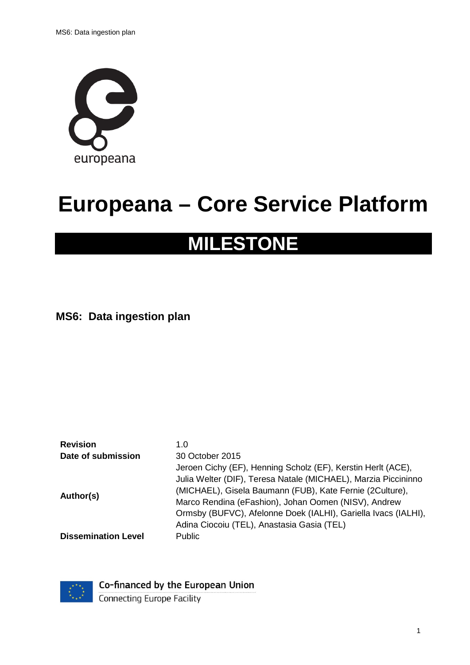

# **Europeana – Core Service Platform**

# **MILESTONE**

**MS6: Data ingestion plan**

Revision 1.0 **Date of submission** 30 October 2015 **Author(s)** Jeroen Cichy (EF), Henning Scholz (EF), Kerstin Herlt (ACE), Julia Welter (DIF), Teresa Natale (MICHAEL), Marzia Piccininno (MICHAEL), Gisela Baumann (FUB), Kate Fernie (2Culture), Marco Rendina (eFashion), Johan Oomen (NISV), Andrew Ormsby (BUFVC), Afelonne Doek (IALHI), Gariella Ivacs (IALHI), Adina Ciocoiu (TEL), Anastasia Gasia (TEL) **Dissemination Level** Public



Co-financed by the European Union

**Connecting Europe Facility**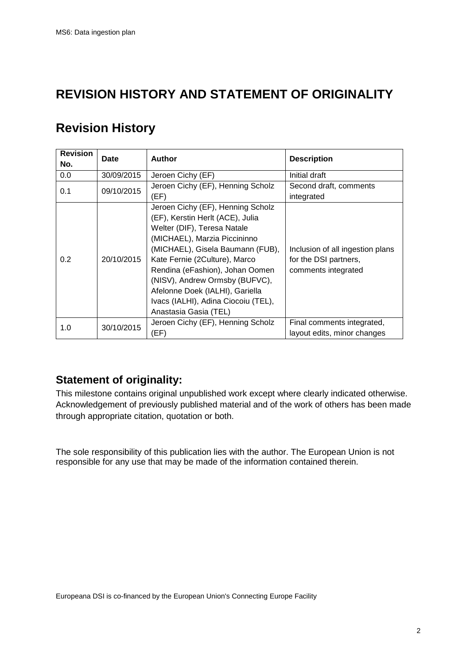## **REVISION HISTORY AND STATEMENT OF ORIGINALITY**

# **Revision History**

| <b>Revision</b><br>No. | Date       | Author                                                                                                                                                                                                                                                                                                                                                                            | <b>Description</b>                                                               |
|------------------------|------------|-----------------------------------------------------------------------------------------------------------------------------------------------------------------------------------------------------------------------------------------------------------------------------------------------------------------------------------------------------------------------------------|----------------------------------------------------------------------------------|
| 0.0                    | 30/09/2015 | Jeroen Cichy (EF)                                                                                                                                                                                                                                                                                                                                                                 | Initial draft                                                                    |
| 0.1                    | 09/10/2015 | Jeroen Cichy (EF), Henning Scholz<br>(EF)                                                                                                                                                                                                                                                                                                                                         | Second draft, comments<br>integrated                                             |
| 0.2                    | 20/10/2015 | Jeroen Cichy (EF), Henning Scholz<br>(EF), Kerstin Herlt (ACE), Julia<br>Welter (DIF), Teresa Natale<br>(MICHAEL), Marzia Piccininno<br>(MICHAEL), Gisela Baumann (FUB),<br>Kate Fernie (2Culture), Marco<br>Rendina (eFashion), Johan Oomen<br>(NISV), Andrew Ormsby (BUFVC),<br>Afelonne Doek (IALHI), Gariella<br>Ivacs (IALHI), Adina Ciocoiu (TEL),<br>Anastasia Gasia (TEL) | Inclusion of all ingestion plans<br>for the DSI partners,<br>comments integrated |
| 1.0                    | 30/10/2015 | Jeroen Cichy (EF), Henning Scholz<br>(EF)                                                                                                                                                                                                                                                                                                                                         | Final comments integrated,<br>layout edits, minor changes                        |

### **Statement of originality:**

This milestone contains original unpublished work except where clearly indicated otherwise. Acknowledgement of previously published material and of the work of others has been made through appropriate citation, quotation or both.

The sole responsibility of this publication lies with the author. The European Union is not responsible for any use that may be made of the information contained therein.

Europeana DSI is co-financed by the European Union's Connecting Europe Facility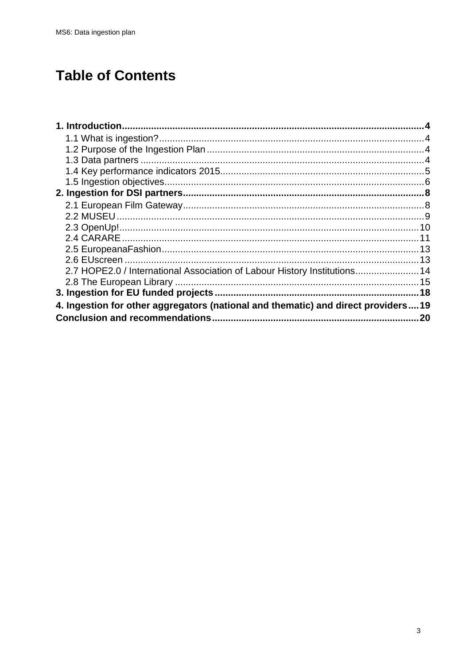# **Table of Contents**

| 2.7 HOPE2.0 / International Association of Labour History Institutions 14         |    |
|-----------------------------------------------------------------------------------|----|
|                                                                                   |    |
|                                                                                   |    |
| 4. Ingestion for other aggregators (national and thematic) and direct providers19 |    |
|                                                                                   | 20 |
|                                                                                   |    |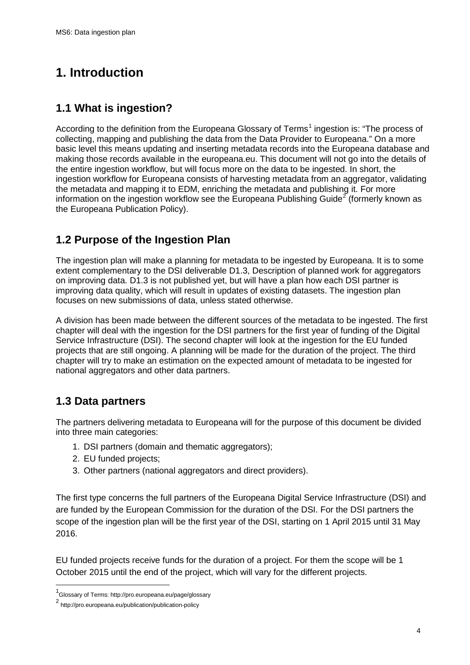# <span id="page-3-0"></span>**1. Introduction**

### <span id="page-3-1"></span>**1.1 What is ingestion?**

According to the definition from the Europeana Glossary of Terms<sup>[1](#page-3-4)</sup> ingestion is: "The process of collecting, mapping and publishing the data from the Data Provider to Europeana." On a more basic level this means updating and inserting metadata records into the Europeana database and making those records available in the europeana.eu. This document will not go into the details of the entire ingestion workflow, but will focus more on the data to be ingested. In short, the ingestion workflow for Europeana consists of harvesting metadata from an aggregator, validating the metadata and mapping it to EDM, enriching the metadata and publishing it. For more information on the ingestion workflow see the Europeana Publishing Guide<sup>[2](#page-3-5)</sup> (formerly known as the Europeana Publication Policy).

### <span id="page-3-2"></span>**1.2 Purpose of the Ingestion Plan**

The ingestion plan will make a planning for metadata to be ingested by Europeana. It is to some extent complementary to the DSI deliverable D1.3, Description of planned work for aggregators on improving data. D1.3 is not published yet, but will have a plan how each DSI partner is improving data quality, which will result in updates of existing datasets. The ingestion plan focuses on new submissions of data, unless stated otherwise.

A division has been made between the different sources of the metadata to be ingested. The first chapter will deal with the ingestion for the DSI partners for the first year of funding of the Digital Service Infrastructure (DSI). The second chapter will look at the ingestion for the EU funded projects that are still ongoing. A planning will be made for the duration of the project. The third chapter will try to make an estimation on the expected amount of metadata to be ingested for national aggregators and other data partners.

### <span id="page-3-3"></span>**1.3 Data partners**

The partners delivering metadata to Europeana will for the purpose of this document be divided into three main categories:

- 1. DSI partners (domain and thematic aggregators);
- 2. EU funded projects;
- 3. Other partners (national aggregators and direct providers).

The first type concerns the full partners of the Europeana Digital Service Infrastructure (DSI) and are funded by the European Commission for the duration of the DSI. For the DSI partners the scope of the ingestion plan will be the first year of the DSI, starting on 1 April 2015 until 31 May 2016.

EU funded projects receive funds for the duration of a project. For them the scope will be 1 October 2015 until the end of the project, which will vary for the different projects.

 <sup>1</sup> Glossary of Terms: http://pro.europeana.eu/page/glossary

<span id="page-3-5"></span><span id="page-3-4"></span><sup>2</sup> http://pro.europeana.eu/publication/publication-policy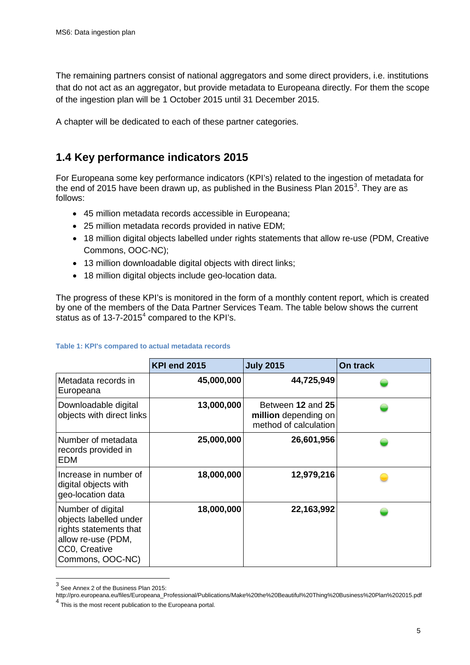The remaining partners consist of national aggregators and some direct providers, i.e. institutions that do not act as an aggregator, but provide metadata to Europeana directly. For them the scope of the ingestion plan will be 1 October 2015 until 31 December 2015.

A chapter will be dedicated to each of these partner categories.

### <span id="page-4-0"></span>**1.4 Key performance indicators 2015**

For Europeana some key performance indicators (KPI's) related to the ingestion of metadata for the end of 2015 have been drawn up, as published in the Business Plan 2015<sup>[3](#page-4-1)</sup>. They are as follows:

- 45 million metadata records accessible in Europeana;
- 25 million metadata records provided in native EDM;
- 18 million digital objects labelled under rights statements that allow re-use (PDM, Creative Commons, OOC-NC);
- 13 million downloadable digital objects with direct links;
- 18 million digital objects include geo-location data.

The progress of these KPI's is monitored in the form of a monthly content report, which is created by one of the members of the Data Partner Services Team. The table below shows the current status as of 13-7-2015<sup>[4](#page-4-2)</sup> compared to the KPI's.

|                                                                                                                                  | <b>KPI end 2015</b> | <b>July 2015</b>                                                   | On track |
|----------------------------------------------------------------------------------------------------------------------------------|---------------------|--------------------------------------------------------------------|----------|
| Metadata records in<br>Europeana                                                                                                 | 45,000,000          | 44,725,949                                                         |          |
| Downloadable digital<br>objects with direct links                                                                                | 13,000,000          | Between 12 and 25<br>million depending on<br>method of calculation |          |
| Number of metadata<br>records provided in<br>EDM                                                                                 | 25,000,000          | 26,601,956                                                         |          |
| Increase in number of<br>digital objects with<br>geo-location data                                                               | 18,000,000          | 12,979,216                                                         |          |
| Number of digital<br>objects labelled under<br>rights statements that<br>allow re-use (PDM,<br>CC0, Creative<br>Commons, OOC-NC) | 18,000,000          | 22,163,992                                                         |          |

 <sup>3</sup> See Annex 2 of the Business Plan 2015:

<span id="page-4-2"></span><span id="page-4-1"></span>[http://pro.europeana.eu/files/Europeana\\_Professional/Publications/Make%20the%20Beautiful%20Thing%20Business%20Plan%202015.pdf](http://pro.europeana.eu/files/Europeana_Professional/Publications/Make%20the%20Beautiful%20Thing%20Business%20Plan%202015.pdf) <sup>4</sup> This is the most recent publication to the Europeana portal.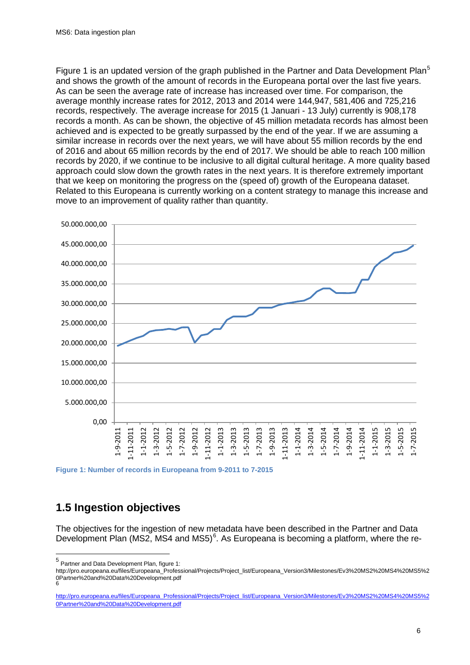Figure 1 is an updated version of the graph published in the Partner and Data Development Plan<sup>[5](#page-5-1)</sup> and shows the growth of the amount of records in the Europeana portal over the last five years. As can be seen the average rate of increase has increased over time. For comparison, the average monthly increase rates for 2012, 2013 and 2014 were 144,947, 581,406 and 725,216 records, respectively. The average increase for 2015 (1 Januari - 13 July) currently is 908,178 records a month. As can be shown, the objective of 45 million metadata records has almost been achieved and is expected to be greatly surpassed by the end of the year. If we are assuming a similar increase in records over the next years, we will have about 55 million records by the end of 2016 and about 65 million records by the end of 2017. We should be able to reach 100 million records by 2020, if we continue to be inclusive to all digital cultural heritage. A more quality based approach could slow down the growth rates in the next years. It is therefore extremely important that we keep on monitoring the progress on the (speed of) growth of the Europeana dataset. Related to this Europeana is currently working on a content strategy to manage this increase and move to an improvement of quality rather than quantity.



**Figure 1: Number of records in Europeana from 9-2011 to 7-2015**

### <span id="page-5-0"></span>**1.5 Ingestion objectives**

The objectives for the ingestion of new metadata have been described in the Partner and Data Development Plan (MS2, MS4 and MS5)<sup>[6](#page-5-2)</sup>. As Europeana is becoming a platform, where the re-

<span id="page-5-1"></span> <sup>5</sup> Partner and Data Development Plan, figure 1:

[http://pro.europeana.eu/files/Europeana\\_Professional/Projects/Project\\_list/Europeana\\_Version3/Milestones/Ev3%20MS2%20MS4%20MS5%2](http://pro.europeana.eu/files/Europeana_Professional/Projects/Project_list/Europeana_Version3/Milestones/Ev3%20MS2%20MS4%20MS5%20Partner%20and%20Data%20Development.pdf) [0Partner%20and%20Data%20Development.pdf](http://pro.europeana.eu/files/Europeana_Professional/Projects/Project_list/Europeana_Version3/Milestones/Ev3%20MS2%20MS4%20MS5%20Partner%20and%20Data%20Development.pdf) [6](http://pro.europeana.eu/files/Europeana_Professional/Projects/Project_list/Europeana_Version3/Milestones/Ev3%20MS2%20MS4%20MS5%20Partner%20and%20Data%20Development.pdf)

<span id="page-5-2"></span>[http://pro.europeana.eu/files/Europeana\\_Professional/Projects/Project\\_list/Europeana\\_Version3/Milestones/Ev3%20MS2%20MS4%20MS5%2](http://pro.europeana.eu/files/Europeana_Professional/Projects/Project_list/Europeana_Version3/Milestones/Ev3%20MS2%20MS4%20MS5%20Partner%20and%20Data%20Development.pdf) [0Partner%20and%20Data%20Development.pdf](http://pro.europeana.eu/files/Europeana_Professional/Projects/Project_list/Europeana_Version3/Milestones/Ev3%20MS2%20MS4%20MS5%20Partner%20and%20Data%20Development.pdf)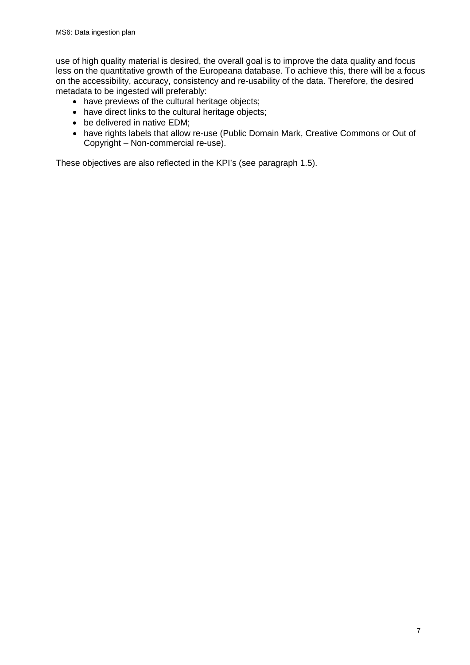use of high quality material is desired, the overall goal is to improve the data quality and focus less on the quantitative growth of the Europeana database. To achieve this, there will be a focus on the accessibility, accuracy, consistency and re-usability of the data. Therefore, the desired metadata to be ingested will preferably:

- have previews of the cultural heritage objects;
- have direct links to the cultural heritage objects;
- be delivered in native EDM;
- have rights labels that allow re-use (Public Domain Mark, Creative Commons or Out of Copyright – Non-commercial re-use).

These objectives are also reflected in the KPI's (see paragraph 1.5).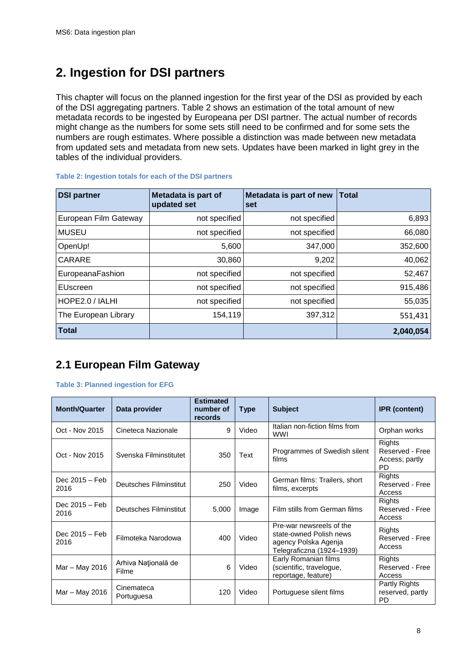# <span id="page-7-0"></span>**2. Ingestion for DSI partners**

This chapter will focus on the planned ingestion for the first year of the DSI as provided by each of the DSI aggregating partners. Table 2 shows an estimation of the total amount of new metadata records to be ingested by Europeana per DSI partner. The actual number of records might change as the numbers for some sets still need to be confirmed and for some sets the numbers are rough estimates. Where possible a distinction was made between new metadata from updated sets and metadata from new sets. Updates have been marked in light grey in the tables of the individual providers.

| <b>DSI partner</b>    | Metadata is part of<br>updated set | Metadata is part of new<br>set | $\mathsf{T}$ otal |
|-----------------------|------------------------------------|--------------------------------|-------------------|
| European Film Gateway | not specified                      | not specified                  | 6,893             |
| <b>MUSEU</b>          | not specified                      | not specified                  | 66,080            |
| OpenUp!               | 5,600                              | 347,000                        | 352,600           |
| CARARE                | 30,860                             | 9,202                          | 40,062            |
| EuropeanaFashion      | not specified                      | not specified                  | 52,467            |
| EUscreen              | not specified                      | not specified                  | 915,486           |
| HOPE2.0 / IALHI       | not specified                      | not specified                  | 55,035            |
| The European Library  | 154,119                            | 397,312                        | 551,431           |
| <b>Total</b>          |                                    |                                | 2,040,054         |

#### **Table 2: Ingestion totals for each of the DSI partners**

### <span id="page-7-1"></span>**2.1 European Film Gateway**

#### **Table 3: Planned ingestion for EFG**

| <b>Month/Quarter</b>   | Data provider                | <b>Estimated</b><br>number of<br>records | <b>Type</b> | <b>Subject</b>                                                                                           | <b>IPR</b> (content)                                     |
|------------------------|------------------------------|------------------------------------------|-------------|----------------------------------------------------------------------------------------------------------|----------------------------------------------------------|
| Oct - Nov 2015         | Cineteca Nazionale           | 9                                        | Video       | Italian non-fiction films from<br><b>WWI</b>                                                             | Orphan works                                             |
| Oct - Nov 2015         | Svenska Filminstitutet       | 350                                      | Text        | Programmes of Swedish silent<br>films                                                                    | Rights<br>Reserved - Free<br>Access; partly<br><b>PD</b> |
| Dec 2015 - Feb<br>2016 | Deutsches Filminstitut       | 250                                      | Video       | German films: Trailers, short<br>films, excerpts                                                         | Rights<br>Reserved - Free<br>Access                      |
| Dec 2015 – Feb<br>2016 | Deutsches Filminstitut       | 5,000                                    | Image       | Film stills from German films                                                                            | Rights<br>Reserved - Free<br>Access                      |
| Dec 2015 – Feb<br>2016 | Filmoteka Narodowa           | 400                                      | Video       | Pre-war newsreels of the<br>state-owned Polish news<br>agency Polska Agenja<br>Telegraficzna (1924-1939) | Rights<br>Reserved - Free<br>Access                      |
| Mar - May 2016         | Arhiva Națională de<br>Filme | 6                                        | Video       | Early Romanian films<br>(scientific, travelogue,<br>reportage, feature)                                  | Rights<br>Reserved - Free<br>Access                      |
| Mar – May 2016         | Cinemateca<br>Portuguesa     | 120                                      | Video       | Portuguese silent films                                                                                  | Partly Rights<br>reserved, partly<br><b>PD</b>           |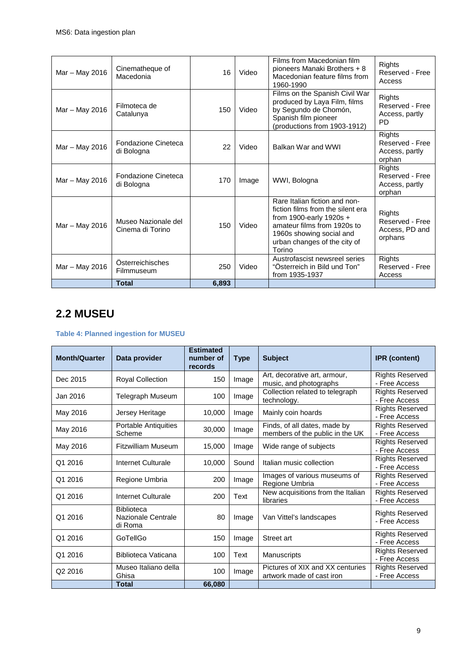| Mar - May 2016 | Cinematheque of<br>Macedonia            | 16    | Video | Films from Macedonian film<br>pioneers Manaki Brothers + 8<br>Macedonian feature films from<br>1960-1990                                                                                           | Rights<br>Reserved - Free<br>Access                      |
|----------------|-----------------------------------------|-------|-------|----------------------------------------------------------------------------------------------------------------------------------------------------------------------------------------------------|----------------------------------------------------------|
| Mar - May 2016 | Filmoteca de<br>Catalunya               | 150   | Video | Films on the Spanish Civil War<br>produced by Laya Film, films<br>by Segundo de Chomón,<br>Spanish film pioneer<br>(productions from 1903-1912)                                                    | Rights<br>Reserved - Free<br>Access, partly<br><b>PD</b> |
| Mar - May 2016 | Fondazione Cineteca<br>di Bologna       | 22    | Video | Balkan War and WWI                                                                                                                                                                                 | Rights<br>Reserved - Free<br>Access, partly<br>orphan    |
| Mar - May 2016 | Fondazione Cineteca<br>di Bologna       | 170   | Image | WWI, Bologna                                                                                                                                                                                       | Rights<br>Reserved - Free<br>Access, partly<br>orphan    |
| Mar - May 2016 | Museo Nazionale del<br>Cinema di Torino | 150   | Video | Rare Italian fiction and non-<br>fiction films from the silent era<br>from 1900-early 1920s +<br>amateur films from 1920s to<br>1960s showing social and<br>urban changes of the city of<br>Torino | Rights<br>Reserved - Free<br>Access, PD and<br>orphans   |
| Mar - May 2016 | Österreichisches<br>Filmmuseum          | 250   | Video | Austrofascist newsreel series<br>"Österreich in Bild und Ton"<br>from 1935-1937                                                                                                                    | Rights<br>Reserved - Free<br>Access                      |
|                | <b>Total</b>                            | 6,893 |       |                                                                                                                                                                                                    |                                                          |

### <span id="page-8-0"></span>**2.2 MUSEU**

#### **Table 4: Planned ingestion for MUSEU**

| <b>Month/Quarter</b> | Data provider                                      | <b>Estimated</b><br>number of<br>records | <b>Type</b> | <b>Subject</b>                                                  | <b>IPR</b> (content)                    |
|----------------------|----------------------------------------------------|------------------------------------------|-------------|-----------------------------------------------------------------|-----------------------------------------|
| Dec 2015             | Royal Collection                                   | 150                                      | Image       | Art, decorative art, armour,<br>music, and photographs          | <b>Rights Reserved</b><br>- Free Access |
| Jan 2016             | Telegraph Museum                                   | 100                                      | Image       | Collection related to telegraph<br>technology.                  | <b>Rights Reserved</b><br>- Free Access |
| May 2016             | Jersey Heritage                                    | 10,000                                   | Image       | Mainly coin hoards                                              | <b>Rights Reserved</b><br>- Free Access |
| May 2016             | Portable Antiquities<br>Scheme                     | 30,000                                   | Image       | Finds, of all dates, made by<br>members of the public in the UK | <b>Rights Reserved</b><br>- Free Access |
| May 2016             | Fitzwilliam Museum                                 | 15,000                                   | Image       | Wide range of subjects                                          | <b>Rights Reserved</b><br>- Free Access |
| Q1 2016              | Internet Culturale                                 | 10,000                                   | Sound       | Italian music collection                                        | <b>Rights Reserved</b><br>- Free Access |
| Q1 2016              | Regione Umbria                                     | 200                                      | Image       | Images of various museums of<br>Regione Umbria                  | <b>Rights Reserved</b><br>- Free Access |
| Q1 2016              | Internet Culturale                                 | 200                                      | Text        | New acquisitions from the Italian<br>libraries                  | <b>Rights Reserved</b><br>- Free Access |
| Q1 2016              | <b>Biblioteca</b><br>Nazionale Centrale<br>di Roma | 80                                       | Image       | Van Vittel's landscapes                                         | <b>Rights Reserved</b><br>- Free Access |
| Q1 2016              | GoTellGo                                           | 150                                      | Image       | Street art                                                      | <b>Rights Reserved</b><br>- Free Access |
| Q1 2016              | Biblioteca Vaticana                                | 100                                      | Text        | Manuscripts                                                     | <b>Rights Reserved</b><br>- Free Access |
| Q <sub>2</sub> 2016  | Museo Italiano della<br>Ghisa                      | 100                                      | Image       | Pictures of XIX and XX centuries<br>artwork made of cast iron   | <b>Rights Reserved</b><br>- Free Access |
|                      | <b>Total</b>                                       | 66,080                                   |             |                                                                 |                                         |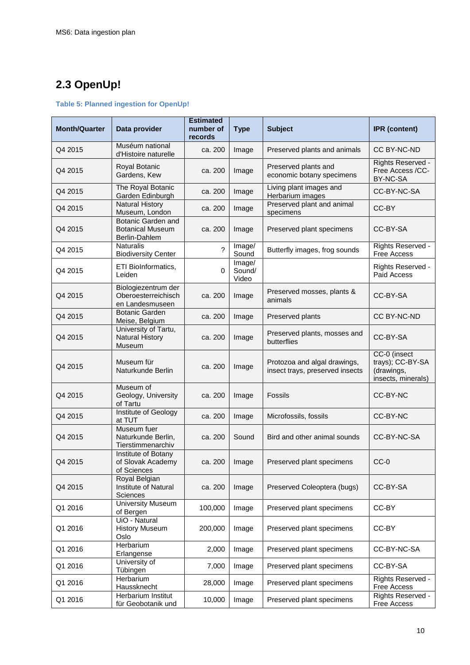## <span id="page-9-0"></span>**2.3 OpenUp!**

#### **Table 5: Planned ingestion for OpenUp!**

| <b>Month/Quarter</b> | Data provider                                                         | <b>Estimated</b><br>number of<br>records | <b>Type</b>               | <b>Subject</b>                                                  | <b>IPR</b> (content)                                                 |
|----------------------|-----------------------------------------------------------------------|------------------------------------------|---------------------------|-----------------------------------------------------------------|----------------------------------------------------------------------|
| Q4 2015              | Muséum national<br>d'Histoire naturelle                               | ca. 200                                  | Image                     | Preserved plants and animals                                    | CC BY-NC-ND                                                          |
| Q4 2015              | Royal Botanic<br>Gardens, Kew                                         | ca. 200                                  | Image                     | Preserved plants and<br>economic botany specimens               | Rights Reserved -<br>Free Access /CC-<br>BY-NC-SA                    |
| Q4 2015              | The Royal Botanic<br>Garden Edinburgh                                 | ca. 200                                  | Image                     | Living plant images and<br>Herbarium images                     | CC-BY-NC-SA                                                          |
| Q4 2015              | <b>Natural History</b><br>Museum, London                              | ca. 200                                  | Image                     | Preserved plant and animal<br>specimens                         | CC-BY                                                                |
| Q4 2015              | <b>Botanic Garden and</b><br><b>Botanical Museum</b><br>Berlin-Dahlem | ca. 200                                  | Image                     | Preserved plant specimens                                       | CC-BY-SA                                                             |
| Q4 2015              | <b>Naturalis</b><br><b>Biodiversity Center</b>                        | ?                                        | Image/<br>Sound           | Butterfly images, frog sounds                                   | Rights Reserved -<br><b>Free Access</b>                              |
| Q4 2015              | ETI BioInformatics,<br>Leiden                                         | 0                                        | Image/<br>Sound/<br>Video |                                                                 | Rights Reserved -<br>Paid Access                                     |
| Q4 2015              | Biologiezentrum der<br>Oberoesterreichisch<br>en Landesmuseen         | ca. 200                                  | Image                     | Preserved mosses, plants &<br>animals                           | CC-BY-SA                                                             |
| Q4 2015              | <b>Botanic Garden</b><br>Meise, Belgium                               | ca. 200                                  | Image                     | Preserved plants                                                | CC BY-NC-ND                                                          |
| Q4 2015              | University of Tartu,<br><b>Natural History</b><br>Museum              | ca. 200                                  | Image                     | Preserved plants, mosses and<br>butterflies                     | CC-BY-SA                                                             |
| Q4 2015              | Museum für<br>Naturkunde Berlin                                       | ca. 200                                  | Image                     | Protozoa and algal drawings,<br>insect trays, preserved insects | CC-0 (insect<br>trays); CC-BY-SA<br>(drawings,<br>insects, minerals) |
| Q4 2015              | Museum of<br>Geology, University<br>of Tartu                          | ca. 200                                  | Image                     | Fossils                                                         | CC-BY-NC                                                             |
| Q4 2015              | Institute of Geology<br>at TUT                                        | ca. 200                                  | Image                     | Microfossils, fossils                                           | CC-BY-NC                                                             |
| Q4 2015              | Museum fuer<br>Naturkunde Berlin,<br>Tierstimmenarchiv                | ca. 200                                  | Sound                     | Bird and other animal sounds                                    | CC-BY-NC-SA                                                          |
| Q4 2015              | Institute of Botany<br>of Slovak Academy<br>of Sciences               | ca. 200                                  | Image                     | Preserved plant specimens                                       | $CC-0$                                                               |
| Q4 2015              | Royal Belgian<br>Institute of Natural<br>Sciences                     | ca. 200                                  | Image                     | Preserved Coleoptera (bugs)                                     | CC-BY-SA                                                             |
| Q1 2016              | <b>University Museum</b><br>of Bergen                                 | 100,000                                  | Image                     | Preserved plant specimens                                       | CC-BY                                                                |
| Q1 2016              | UiO - Natural<br><b>History Museum</b><br>Oslo                        | 200,000                                  | Image                     | Preserved plant specimens                                       | CC-BY                                                                |
| Q1 2016              | Herbarium<br>Erlangense                                               | 2,000                                    | Image                     | Preserved plant specimens                                       | CC-BY-NC-SA                                                          |
| Q1 2016              | University of<br>Tübingen                                             | 7,000                                    | Image                     | Preserved plant specimens                                       | CC-BY-SA                                                             |
| Q1 2016              | Herbarium<br>Haussknecht                                              | 28,000                                   | Image                     | Preserved plant specimens                                       | Rights Reserved -<br>Free Access                                     |
| Q1 2016              | Herbarium Institut<br>für Geobotanik und                              | 10,000                                   | Image                     | Preserved plant specimens                                       | Rights Reserved -<br>Free Access                                     |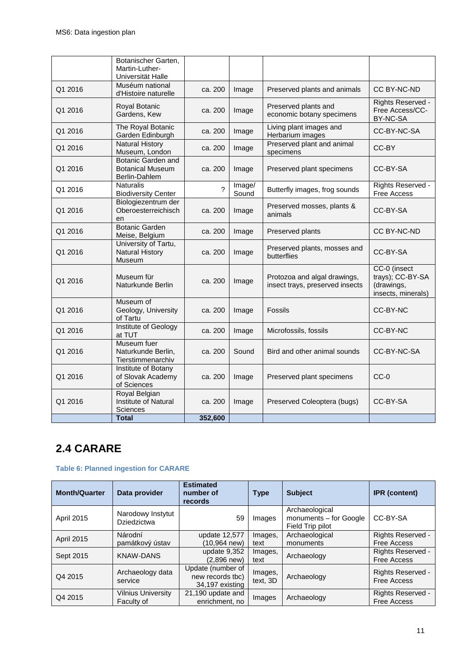|         | Botanischer Garten,<br>Martin-Luther-<br>Universität Halle            |         |                 |                                                                 |                                                                      |
|---------|-----------------------------------------------------------------------|---------|-----------------|-----------------------------------------------------------------|----------------------------------------------------------------------|
| Q1 2016 | Muséum national<br>d'Histoire naturelle                               | ca. 200 | Image           | Preserved plants and animals                                    | CC BY-NC-ND                                                          |
| Q1 2016 | Royal Botanic<br>Gardens, Kew                                         | ca. 200 | Image           | Preserved plants and<br>economic botany specimens               | Rights Reserved -<br>Free Access/CC-<br>BY-NC-SA                     |
| Q1 2016 | The Royal Botanic<br>Garden Edinburgh                                 | ca. 200 | Image           | Living plant images and<br>Herbarium images                     | CC-BY-NC-SA                                                          |
| Q1 2016 | <b>Natural History</b><br>Museum, London                              | ca. 200 | Image           | Preserved plant and animal<br>specimens                         | CC-BY                                                                |
| Q1 2016 | <b>Botanic Garden and</b><br><b>Botanical Museum</b><br>Berlin-Dahlem | ca. 200 | Image           | Preserved plant specimens                                       | CC-BY-SA                                                             |
| Q1 2016 | <b>Naturalis</b><br><b>Biodiversity Center</b>                        | 2       | Image/<br>Sound | Butterfly images, frog sounds                                   | Rights Reserved -<br><b>Free Access</b>                              |
| Q1 2016 | Biologiezentrum der<br>Oberoesterreichisch<br>en                      | ca. 200 | Image           | Preserved mosses, plants &<br>animals                           | CC-BY-SA                                                             |
| Q1 2016 | <b>Botanic Garden</b><br>Meise, Belgium                               | ca. 200 | Image           | Preserved plants                                                | CC BY-NC-ND                                                          |
| Q1 2016 | University of Tartu,<br><b>Natural History</b><br>Museum              | ca. 200 | Image           | Preserved plants, mosses and<br>butterflies                     | CC-BY-SA                                                             |
| Q1 2016 | Museum für<br>Naturkunde Berlin                                       | ca. 200 | Image           | Protozoa and algal drawings,<br>insect trays, preserved insects | CC-0 (insect<br>trays); CC-BY-SA<br>(drawings,<br>insects, minerals) |
| Q1 2016 | Museum of<br>Geology, University<br>of Tartu                          | ca. 200 | Image           | Fossils                                                         | CC-BY-NC                                                             |
| Q1 2016 | Institute of Geology<br>at TUT                                        | ca. 200 | Image           | Microfossils, fossils                                           | CC-BY-NC                                                             |
| Q1 2016 | Museum fuer<br>Naturkunde Berlin,<br>Tierstimmenarchiv                | ca. 200 | Sound           | Bird and other animal sounds                                    | CC-BY-NC-SA                                                          |
| Q1 2016 | Institute of Botany<br>of Slovak Academy<br>of Sciences               | ca. 200 | Image           | Preserved plant specimens                                       | $CC-0$                                                               |
| Q1 2016 | Royal Belgian<br>Institute of Natural<br>Sciences                     | ca. 200 | Image           | Preserved Coleoptera (bugs)                                     | CC-BY-SA                                                             |
|         | <b>Total</b>                                                          | 352,600 |                 |                                                                 |                                                                      |

## <span id="page-10-0"></span>**2.4 CARARE**

#### **Table 6: Planned ingestion for CARARE**

| <b>Month/Quarter</b> | Data provider                           | <b>Estimated</b><br>number of<br>records                 | <b>Type</b>         | <b>Subject</b>                                               | <b>IPR</b> (content)                    |
|----------------------|-----------------------------------------|----------------------------------------------------------|---------------------|--------------------------------------------------------------|-----------------------------------------|
| <b>April 2015</b>    | Narodowy Instytut<br><b>Dziedzictwa</b> | 59                                                       | Images              | Archaeological<br>monuments - for Google<br>Field Trip pilot | CC-BY-SA                                |
| <b>April 2015</b>    | Národní<br>památkový ústav              | update 12,577<br>(10.964 new)                            | Images,<br>text     | Archaeological<br>monuments                                  | Rights Reserved -<br><b>Free Access</b> |
| Sept 2015            | <b>KNAW-DANS</b>                        | update 9,352<br>$(2,896$ new)                            | Images,<br>text     | Archaeology                                                  | Rights Reserved -<br><b>Free Access</b> |
| Q4 2015              | Archaeology data<br>service             | Update (number of<br>new records tbc)<br>34.197 existing | Images,<br>text, 3D | Archaeology                                                  | Rights Reserved -<br><b>Free Access</b> |
| Q4 2015              | <b>Vilnius University</b><br>Faculty of | 21,190 update and<br>enrichment, no                      | Images              | Archaeology                                                  | Rights Reserved -<br><b>Free Access</b> |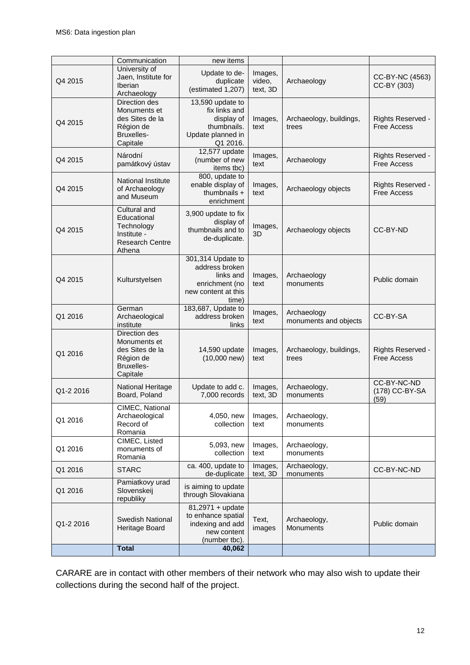|           | Communication                                                                                  | new items                                                                                          |                               |                                      |                                         |
|-----------|------------------------------------------------------------------------------------------------|----------------------------------------------------------------------------------------------------|-------------------------------|--------------------------------------|-----------------------------------------|
| Q4 2015   | University of<br>Jaen, Institute for<br>Iberian<br>Archaeology                                 | Update to de-<br>duplicate<br>(estimated 1,207)                                                    | Images,<br>video,<br>text, 3D | Archaeology                          | CC-BY-NC (4563)<br>CC-BY (303)          |
| Q4 2015   | Direction des<br>Monuments et<br>des Sites de la<br>Région de<br>Bruxelles-<br>Capitale        | 13,590 update to<br>fix links and<br>display of<br>thumbnails.<br>Update planned in<br>Q1 2016.    | Images,<br>text               | Archaeology, buildings,<br>trees     | Rights Reserved -<br><b>Free Access</b> |
| Q4 2015   | Národní<br>památkový ústav                                                                     | 12,577 update<br>(number of new<br>items tbc)                                                      | Images,<br>text               | Archaeology                          | Rights Reserved -<br><b>Free Access</b> |
| Q4 2015   | <b>National Institute</b><br>of Archaeology<br>and Museum                                      | 800, update to<br>enable display of<br>thumbnails $+$<br>enrichment                                | Images,<br>text               | Archaeology objects                  | Rights Reserved -<br><b>Free Access</b> |
| Q4 2015   | Cultural and<br>Educational<br>Technology<br>Institute -<br><b>Research Centre</b><br>Athena   | 3,900 update to fix<br>display of<br>thumbnails and to<br>de-duplicate.                            | Images,<br>3D                 | Archaeology objects                  | CC-BY-ND                                |
| Q4 2015   | Kulturstyelsen                                                                                 | 301,314 Update to<br>address broken<br>links and<br>enrichment (no<br>new content at this<br>time) | Images,<br>text               | Archaeology<br>monuments             | Public domain                           |
| Q1 2016   | German<br>Archaeological<br>institute                                                          | 183,687, Update to<br>address broken<br>links                                                      | Images,<br>text               | Archaeology<br>monuments and objects | CC-BY-SA                                |
| Q1 2016   | Direction des<br>Monuments et<br>des Sites de la<br>Région de<br><b>Bruxelles-</b><br>Capitale | 14,590 update<br>$(10,000$ new)                                                                    | Images,<br>text               | Archaeology, buildings,<br>trees     | Rights Reserved -<br><b>Free Access</b> |
| Q1-2 2016 | National Heritage<br>Board, Poland                                                             | Update to add c.<br>7,000 records                                                                  | Images,<br>text, 3D           | Archaeology,<br>monuments            | CC-BY-NC-ND<br>(178) CC-BY-SA<br>(59)   |
| Q1 2016   | CIMEC, National<br>Archaeological<br>Record of<br>Romania                                      | 4,050, new<br>collection                                                                           | Images,<br>text               | Archaeology,<br>monuments            |                                         |
| Q1 2016   | CIMEC, Listed<br>monuments of<br>Romania                                                       | 5,093, new<br>collection                                                                           | Images,<br>text               | Archaeology,<br>monuments            |                                         |
| Q1 2016   | <b>STARC</b>                                                                                   | ca. 400, update to<br>de-duplicate                                                                 | Images,<br>text, 3D           | Archaeology,<br>monuments            | CC-BY-NC-ND                             |
| Q1 2016   | Pamiatkovy urad<br>Slovenskeij<br>republiky                                                    | is aiming to update<br>through Slovakiana                                                          |                               |                                      |                                         |
| Q1-2 2016 | Swedish National<br>Heritage Board                                                             | 81,2971 + update<br>to enhance spatial<br>indexing and add<br>new content<br>(number tbc).         | Text,<br>images               | Archaeology,<br>Monuments            | Public domain                           |
|           | <b>Total</b>                                                                                   | 40,062                                                                                             |                               |                                      |                                         |

CARARE are in contact with other members of their network who may also wish to update their collections during the second half of the project.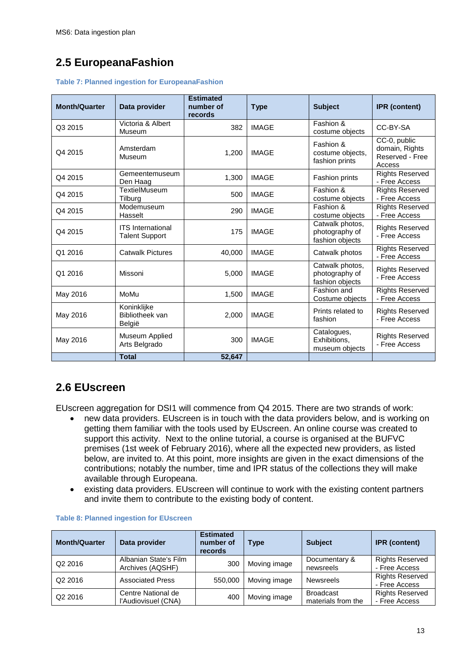### <span id="page-12-0"></span>**2.5 EuropeanaFashion**

|  |  |  |  | <b>Table 7: Planned ingestion for EuropeanaFashion</b> |
|--|--|--|--|--------------------------------------------------------|
|--|--|--|--|--------------------------------------------------------|

| <b>Month/Quarter</b> | Data provider                                     | <b>Estimated</b><br>number of<br>records | <b>Type</b>  | <b>Subject</b>                                       | <b>IPR</b> (content)                                        |
|----------------------|---------------------------------------------------|------------------------------------------|--------------|------------------------------------------------------|-------------------------------------------------------------|
| Q3 2015              | Victoria & Albert<br>Museum                       | 382                                      | <b>IMAGE</b> | Fashion &<br>costume objects                         | CC-BY-SA                                                    |
| Q4 2015              | Amsterdam<br>Museum                               | 1,200                                    | <b>IMAGE</b> | Fashion &<br>costume objects,<br>fashion prints      | CC-0, public<br>domain, Rights<br>Reserved - Free<br>Access |
| Q4 2015              | Gemeentemuseum<br>Den Haag                        | 1,300                                    | <b>IMAGE</b> | Fashion prints                                       | <b>Rights Reserved</b><br>- Free Access                     |
| Q4 2015              | TextielMuseum<br>Tilburg                          | 500                                      | <b>IMAGE</b> | Fashion &<br>costume objects                         | <b>Rights Reserved</b><br>- Free Access                     |
| Q4 2015              | Modemuseum<br>Hasselt                             | 290                                      | <b>IMAGE</b> | Fashion &<br>costume objects                         | <b>Rights Reserved</b><br>- Free Access                     |
| Q4 2015              | <b>ITS</b> International<br><b>Talent Support</b> | 175                                      | <b>IMAGE</b> | Catwalk photos,<br>photography of<br>fashion objects | <b>Rights Reserved</b><br>- Free Access                     |
| Q1 2016              | <b>Catwalk Pictures</b>                           | 40,000                                   | <b>IMAGE</b> | Catwalk photos                                       | <b>Rights Reserved</b><br>- Free Access                     |
| Q1 2016              | Missoni                                           | 5,000                                    | <b>IMAGE</b> | Catwalk photos,<br>photography of<br>fashion objects | <b>Rights Reserved</b><br>- Free Access                     |
| May 2016             | MoMu                                              | 1,500                                    | <b>IMAGE</b> | Fashion and<br>Costume objects                       | <b>Rights Reserved</b><br>- Free Access                     |
| May 2016             | Koninklijke<br>Bibliotheek van<br>België          | 2,000                                    | <b>IMAGE</b> | Prints related to<br>fashion                         | <b>Rights Reserved</b><br>- Free Access                     |
| May 2016             | Museum Applied<br>Arts Belgrado                   | 300                                      | <b>IMAGE</b> | Catalogues,<br>Exhibitions.<br>museum objects        | <b>Rights Reserved</b><br>- Free Access                     |
|                      | <b>Total</b>                                      | 52,647                                   |              |                                                      |                                                             |

### <span id="page-12-1"></span>**2.6 EUscreen**

EUscreen aggregation for DSI1 will commence from Q4 2015. There are two strands of work:

- new data providers. EUscreen is in touch with the data providers below, and is working on getting them familiar with the tools used by EUscreen. An online course was created to support this activity. Next to the online tutorial, a course is organised at the BUFVC premises (1st week of February 2016), where all the expected new providers, as listed below, are invited to. At this point, more insights are given in the exact dimensions of the contributions; notably the number, time and IPR status of the collections they will make available through Europeana.
- existing data providers. EUscreen will continue to work with the existing content partners and invite them to contribute to the existing body of content.

| <b>Month/Quarter</b> | Data provider                             | <b>Estimated</b><br>number of<br>records | Type         | <b>Subject</b>                         | <b>IPR</b> (content)                    |
|----------------------|-------------------------------------------|------------------------------------------|--------------|----------------------------------------|-----------------------------------------|
| Q2 2016              | Albanian State's Film<br>Archives (AQSHF) | 300                                      | Moving image | Documentary &<br>newsreels             | <b>Rights Reserved</b><br>- Free Access |
| Q2 2016              | <b>Associated Press</b>                   | 550.000                                  | Moving image | <b>Newsreels</b>                       | <b>Rights Reserved</b><br>- Free Access |
| Q <sub>2</sub> 2016  | Centre National de<br>l'Audiovisuel (CNA) | 400                                      | Moving image | <b>Broadcast</b><br>materials from the | <b>Rights Reserved</b><br>- Free Access |

#### **Table 8: Planned ingestion for EUscreen**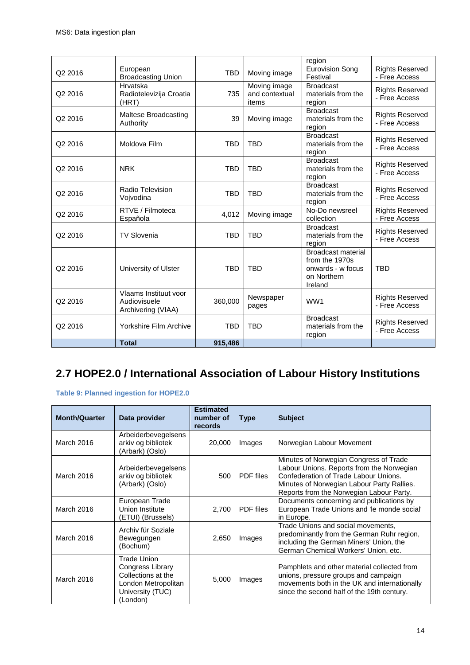|         |                                                             |            |                                         | region                                                                                     |                                         |
|---------|-------------------------------------------------------------|------------|-----------------------------------------|--------------------------------------------------------------------------------------------|-----------------------------------------|
| Q2 2016 | European<br><b>Broadcasting Union</b>                       | <b>TBD</b> | Moving image                            | <b>Eurovision Song</b><br>Festival                                                         | <b>Rights Reserved</b><br>- Free Access |
| Q2 2016 | Hrvatska<br>Radiotelevizija Croatia<br>(HRT)                | 735        | Moving image<br>and contextual<br>items | <b>Broadcast</b><br>materials from the<br>region                                           | <b>Rights Reserved</b><br>- Free Access |
| Q2 2016 | Maltese Broadcasting<br>Authority                           | 39         | Moving image                            | <b>Broadcast</b><br>materials from the<br>region                                           | <b>Rights Reserved</b><br>- Free Access |
| Q2 2016 | Moldova Film                                                | <b>TBD</b> | <b>TBD</b>                              | <b>Broadcast</b><br>materials from the<br>region                                           | <b>Rights Reserved</b><br>- Free Access |
| Q2 2016 | <b>NRK</b>                                                  | <b>TBD</b> | <b>TBD</b>                              | <b>Broadcast</b><br>materials from the<br>region                                           | <b>Rights Reserved</b><br>- Free Access |
| Q2 2016 | Radio Television<br>Vojvodina                               | <b>TBD</b> | <b>TBD</b>                              | <b>Broadcast</b><br>materials from the<br>region                                           | <b>Rights Reserved</b><br>- Free Access |
| Q2 2016 | RTVE / Filmoteca<br>Española                                | 4,012      | Moving image                            | No-Do newsreel<br>collection                                                               | <b>Rights Reserved</b><br>- Free Access |
| Q2 2016 | <b>TV Slovenia</b>                                          | <b>TBD</b> | <b>TBD</b>                              | <b>Broadcast</b><br>materials from the<br>region                                           | <b>Rights Reserved</b><br>- Free Access |
| Q2 2016 | University of Ulster                                        | <b>TBD</b> | <b>TBD</b>                              | <b>Broadcast material</b><br>from the 1970s<br>onwards - w focus<br>on Northern<br>Ireland | <b>TBD</b>                              |
| Q2 2016 | Vlaams Instituut voor<br>Audiovisuele<br>Archivering (VIAA) | 360,000    | Newspaper<br>pages                      | WW1                                                                                        | <b>Rights Reserved</b><br>- Free Access |
| Q2 2016 | Yorkshire Film Archive                                      | <b>TBD</b> | <b>TBD</b>                              | <b>Broadcast</b><br>materials from the<br>region                                           | <b>Rights Reserved</b><br>- Free Access |
|         | <b>Total</b>                                                | 915,486    |                                         |                                                                                            |                                         |

### <span id="page-13-0"></span>**2.7 HOPE2.0 / International Association of Labour History Institutions**

**Table 9: Planned ingestion for HOPE2.0**

| <b>Month/Quarter</b> | Data provider                                                                                                | <b>Estimated</b><br>number of<br>records | <b>Type</b>      | <b>Subject</b>                                                                                                                                                                                                         |
|----------------------|--------------------------------------------------------------------------------------------------------------|------------------------------------------|------------------|------------------------------------------------------------------------------------------------------------------------------------------------------------------------------------------------------------------------|
| March 2016           | Arbeiderbevegelsens<br>arkiv og bibliotek<br>(Arbark) (Oslo)                                                 | 20,000                                   | Images           | Norwegian Labour Movement                                                                                                                                                                                              |
| March 2016           | Arbeiderbevegelsens<br>arkiv og bibliotek<br>(Arbark) (Oslo)                                                 | 500                                      | PDF files        | Minutes of Norwegian Congress of Trade<br>Labour Unions. Reports from the Norwegian<br>Confederation of Trade Labour Unions.<br>Minutes of Norwegian Labour Party Rallies.<br>Reports from the Norwegian Labour Party. |
| March 2016           | European Trade<br>Union Institute<br>(ETUI) (Brussels)                                                       | 2,700                                    | <b>PDF</b> files | Documents concerning and publications by<br>European Trade Unions and 'le monde social'<br>in Europe.                                                                                                                  |
| March 2016           | Archiv für Soziale<br>Bewegungen<br>(Bochum)                                                                 | 2,650                                    | Images           | Trade Unions and social movements,<br>predominantly from the German Ruhr region,<br>including the German Miners' Union, the<br>German Chemical Workers' Union, etc.                                                    |
| March 2016           | Trade Union<br>Congress Library<br>Collections at the<br>London Metropolitan<br>University (TUC)<br>(London) | 5,000                                    | Images           | Pamphlets and other material collected from<br>unions, pressure groups and campaign<br>movements both in the UK and internationally<br>since the second half of the 19th century.                                      |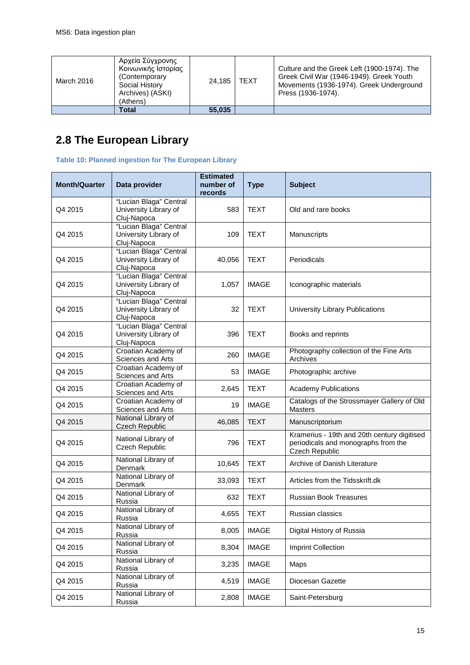| March 2016 | Αρχεία Σύγχρονης<br>Κοινωνικής Ιστορίας<br>(Contemporary)<br>Social History<br>Archives) (ASKI)<br>(Athens) | 24.185 | <b>TEXT</b> | Culture and the Greek Left (1900-1974). The<br>Greek Civil War (1946-1949). Greek Youth<br>Movements (1936-1974). Greek Underground<br>Press (1936-1974). |
|------------|-------------------------------------------------------------------------------------------------------------|--------|-------------|-----------------------------------------------------------------------------------------------------------------------------------------------------------|
|            | Total                                                                                                       | 55,035 |             |                                                                                                                                                           |

# <span id="page-14-0"></span>**2.8 The European Library**

**Table 10: Planned ingestion for The European Library**

| <b>Month/Quarter</b> | Data provider                                                  | <b>Estimated</b><br>number of<br>records | <b>Type</b>  | <b>Subject</b>                                                                                              |
|----------------------|----------------------------------------------------------------|------------------------------------------|--------------|-------------------------------------------------------------------------------------------------------------|
| Q4 2015              | "Lucian Blaga" Central<br>University Library of<br>Cluj-Napoca | 583                                      | <b>TEXT</b>  | Old and rare books                                                                                          |
| Q4 2015              | "Lucian Blaga" Central<br>University Library of<br>Cluj-Napoca | 109                                      | <b>TEXT</b>  | Manuscripts                                                                                                 |
| Q4 2015              | "Lucian Blaga" Central<br>University Library of<br>Cluj-Napoca | 40,056                                   | <b>TEXT</b>  | Periodicals                                                                                                 |
| Q4 2015              | "Lucian Blaga" Central<br>University Library of<br>Cluj-Napoca | 1,057                                    | <b>IMAGE</b> | Iconographic materials                                                                                      |
| Q4 2015              | "Lucian Blaga" Central<br>University Library of<br>Cluj-Napoca | 32                                       | <b>TEXT</b>  | University Library Publications                                                                             |
| Q4 2015              | "Lucian Blaga" Central<br>University Library of<br>Cluj-Napoca | 396                                      | <b>TEXT</b>  | Books and reprints                                                                                          |
| Q4 2015              | Croatian Academy of<br>Sciences and Arts                       | 260                                      | <b>IMAGE</b> | Photography collection of the Fine Arts<br>Archives                                                         |
| Q4 2015              | Croatian Academy of<br>Sciences and Arts                       | 53                                       | <b>IMAGE</b> | Photographic archive                                                                                        |
| Q4 2015              | Croatian Academy of<br>Sciences and Arts                       | 2,645                                    | <b>TEXT</b>  | <b>Academy Publications</b>                                                                                 |
| Q4 2015              | Croatian Academy of<br>Sciences and Arts                       | 19                                       | <b>IMAGE</b> | Catalogs of the Strossmayer Gallery of Old<br><b>Masters</b>                                                |
| Q4 2015              | National Library of<br><b>Czech Republic</b>                   | 46,085                                   | <b>TEXT</b>  | Manuscriptorium                                                                                             |
| Q4 2015              | National Library of<br>Czech Republic                          | 796                                      | <b>TEXT</b>  | Kramerius - 19th and 20th century digitised<br>periodicals and monographs from the<br><b>Czech Republic</b> |
| Q4 2015              | National Library of<br>Denmark                                 | 10,645                                   | <b>TEXT</b>  | Archive of Danish Literature                                                                                |
| Q4 2015              | National Library of<br>Denmark                                 | 33,093                                   | <b>TEXT</b>  | Articles from the Tidsskrift.dk                                                                             |
| Q4 2015              | National Library of<br>Russia                                  | 632                                      | <b>TEXT</b>  | <b>Russian Book Treasures</b>                                                                               |
| Q4 2015              | National Library of<br>Russia                                  | 4,655                                    | <b>TEXT</b>  | Russian classics                                                                                            |
| Q4 2015              | National Library of<br>Russia                                  | 8,005                                    | <b>IMAGE</b> | Digital History of Russia                                                                                   |
| Q4 2015              | National Library of<br>Russia                                  | 8,304                                    | <b>IMAGE</b> | Imprint Collection                                                                                          |
| Q4 2015              | National Library of<br>Russia                                  | 3,235                                    | <b>IMAGE</b> | Maps                                                                                                        |
| Q4 2015              | National Library of<br>Russia                                  | 4,519                                    | <b>IMAGE</b> | Diocesan Gazette                                                                                            |
| Q4 2015              | National Library of<br>Russia                                  | 2,808                                    | <b>IMAGE</b> | Saint-Petersburg                                                                                            |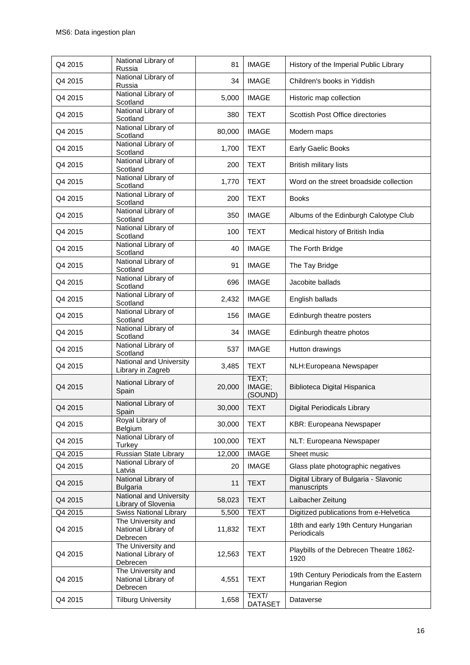| Q4 2015 | National Library of<br>Russia                         | 81      | <b>IMAGE</b>               | History of the Imperial Public Library                        |
|---------|-------------------------------------------------------|---------|----------------------------|---------------------------------------------------------------|
| Q4 2015 | National Library of<br>Russia                         | 34      | <b>IMAGE</b>               | Children's books in Yiddish                                   |
| Q4 2015 | National Library of<br>Scotland                       | 5,000   | <b>IMAGE</b>               | Historic map collection                                       |
| Q4 2015 | National Library of<br>Scotland                       | 380     | <b>TEXT</b>                | Scottish Post Office directories                              |
| Q4 2015 | National Library of<br>Scotland                       | 80,000  | <b>IMAGE</b>               | Modern maps                                                   |
| Q4 2015 | National Library of<br>Scotland                       | 1,700   | <b>TEXT</b>                | Early Gaelic Books                                            |
| Q4 2015 | National Library of<br>Scotland                       | 200     | <b>TEXT</b>                | <b>British military lists</b>                                 |
| Q4 2015 | National Library of<br>Scotland                       | 1,770   | <b>TEXT</b>                | Word on the street broadside collection                       |
| Q4 2015 | National Library of<br>Scotland                       | 200     | <b>TEXT</b>                | <b>Books</b>                                                  |
| Q4 2015 | National Library of<br>Scotland                       | 350     | <b>IMAGE</b>               | Albums of the Edinburgh Calotype Club                         |
| Q4 2015 | National Library of<br>Scotland                       | 100     | <b>TEXT</b>                | Medical history of British India                              |
| Q4 2015 | National Library of<br>Scotland                       | 40      | <b>IMAGE</b>               | The Forth Bridge                                              |
| Q4 2015 | National Library of<br>Scotland                       | 91      | <b>IMAGE</b>               | The Tay Bridge                                                |
| Q4 2015 | National Library of<br>Scotland                       | 696     | <b>IMAGE</b>               | Jacobite ballads                                              |
| Q4 2015 | National Library of<br>Scotland                       | 2,432   | <b>IMAGE</b>               | English ballads                                               |
| Q4 2015 | National Library of<br>Scotland                       | 156     | <b>IMAGE</b>               | Edinburgh theatre posters                                     |
| Q4 2015 | National Library of<br>Scotland                       | 34      | <b>IMAGE</b>               | Edinburgh theatre photos                                      |
| Q4 2015 | National Library of<br>Scotland                       | 537     | <b>IMAGE</b>               | Hutton drawings                                               |
| Q4 2015 | National and University<br>Library in Zagreb          | 3,485   | <b>TEXT</b>                | NLH:Europeana Newspaper                                       |
| Q4 2015 | National Library of<br>Spain                          | 20,000  | TEXT;<br>IMAGE;<br>(SOUND) | Biblioteca Digital Hispanica                                  |
| Q4 2015 | National Library of<br>Spain                          | 30,000  | <b>TEXT</b>                | <b>Digital Periodicals Library</b>                            |
| Q4 2015 | Royal Library of<br>Belgium                           | 30,000  | <b>TEXT</b>                | KBR: Europeana Newspaper                                      |
| Q4 2015 | National Library of<br>Turkey                         | 100,000 | <b>TEXT</b>                | NLT: Europeana Newspaper                                      |
| Q4 2015 | Russian State Library                                 | 12,000  | <b>IMAGE</b>               | Sheet music                                                   |
| Q4 2015 | National Library of<br>Latvia                         | 20      | <b>IMAGE</b>               | Glass plate photographic negatives                            |
| Q4 2015 | National Library of<br><b>Bulgaria</b>                | 11      | <b>TEXT</b>                | Digital Library of Bulgaria - Slavonic<br>manuscripts         |
| Q4 2015 | National and University<br>Library of Slovenia        | 58,023  | <b>TEXT</b>                | Laibacher Zeitung                                             |
| Q4 2015 | <b>Swiss National Library</b>                         | 5,500   | <b>TEXT</b>                | Digitized publications from e-Helvetica                       |
| Q4 2015 | The University and<br>National Library of<br>Debrecen | 11,832  | <b>TEXT</b>                | 18th and early 19th Century Hungarian<br>Periodicals          |
| Q4 2015 | The University and<br>National Library of<br>Debrecen | 12,563  | <b>TEXT</b>                | Playbills of the Debrecen Theatre 1862-<br>1920               |
| Q4 2015 | The University and<br>National Library of<br>Debrecen | 4,551   | <b>TEXT</b>                | 19th Century Periodicals from the Eastern<br>Hungarian Region |
| Q4 2015 | <b>Tilburg University</b>                             | 1,658   | TEXT/<br><b>DATASET</b>    | Dataverse                                                     |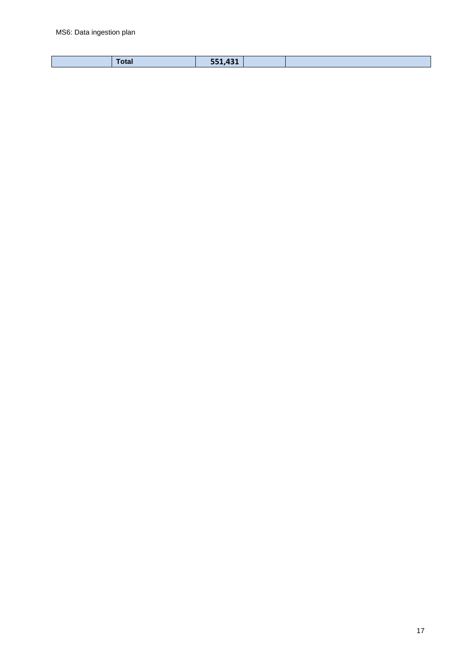| <b>Total</b> | 551,431 |  |
|--------------|---------|--|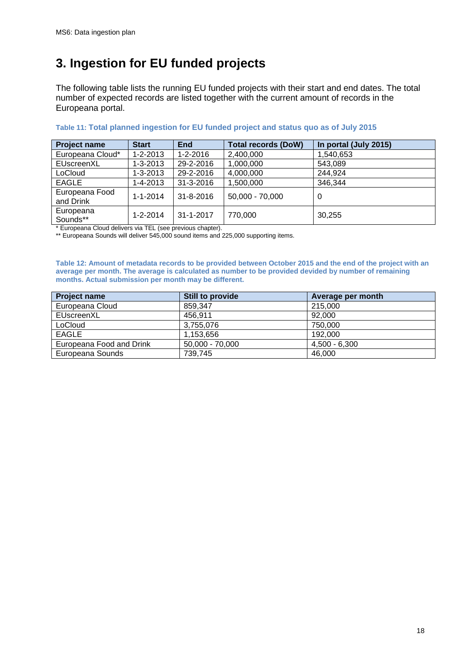# <span id="page-17-0"></span>**3. Ingestion for EU funded projects**

The following table lists the running EU funded projects with their start and end dates. The total number of expected records are listed together with the current amount of records in the Europeana portal.

| <b>Project name</b> | <b>Start</b>   | <b>End</b>     | <b>Total records (DoW)</b> | In portal (July 2015) |
|---------------------|----------------|----------------|----------------------------|-----------------------|
| Europeana Cloud*    | $1 - 2 - 2013$ | $1 - 2 - 2016$ | 2,400,000                  | 1,540,653             |
| EUscreenXL          | $1 - 3 - 2013$ | 29-2-2016      | 1,000,000                  | 543,089               |
| LoCloud             | $1 - 3 - 2013$ | 29-2-2016      | 4,000,000                  | 244,924               |
| <b>EAGLE</b>        | 1-4-2013       | 31-3-2016      | 1,500,000                  | 346,344               |
| Europeana Food      | $1 - 1 - 2014$ | 31-8-2016      | 50,000 - 70,000            | 0                     |
| and Drink           |                |                |                            |                       |
| Europeana           | $1 - 2 - 2014$ | 31-1-2017      | 770,000                    | 30,255                |
| Sounds**            |                |                |                            |                       |

#### **Table 11: Total planned ingestion for EU funded project and status quo as of July 2015**

\* Europeana Cloud delivers via TEL (see previous chapter).

\*\* Europeana Sounds will deliver 545,000 sound items and 225,000 supporting items.

**Table 12: Amount of metadata records to be provided between October 2015 and the end of the project with an average per month. The average is calculated as number to be provided devided by number of remaining months. Actual submission per month may be different.**

| <b>Project name</b>      | Still to provide  | Average per month |
|--------------------------|-------------------|-------------------|
| Europeana Cloud          | 859.347           | 215,000           |
| EUscreenXL               | 456,911           | 92,000            |
| LoCloud                  | 3,755,076         | 750,000           |
| <b>EAGLE</b>             | 1.153.656         | 192,000           |
| Europeana Food and Drink | $50.000 - 70.000$ | $4.500 - 6.300$   |
| Europeana Sounds         | 739,745           | 46,000            |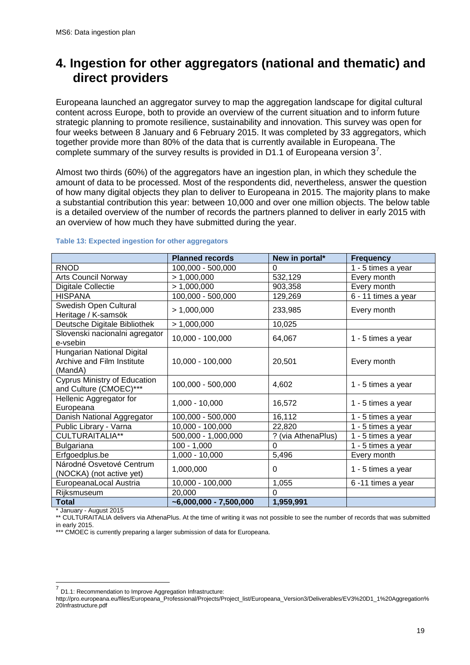### <span id="page-18-0"></span>**4. Ingestion for other aggregators (national and thematic) and direct providers**

Europeana launched an aggregator survey to map the aggregation landscape for digital cultural content across Europe, both to provide an overview of the current situation and to inform future strategic planning to promote resilience, sustainability and innovation. This survey was open for four weeks between 8 January and 6 February 2015. It was completed by 33 aggregators, which together provide more than 80% of the data that is currently available in Europeana. The complete summary of the survey results is provided in D1.1 of Europeana version  $3^7$  $3^7$ .

Almost two thirds (60%) of the aggregators have an ingestion plan, in which they schedule the amount of data to be processed. Most of the respondents did, nevertheless, answer the question of how many digital objects they plan to deliver to Europeana in 2015. The majority plans to make a substantial contribution this year: between 10,000 and over one million objects. The below table is a detailed overview of the number of records the partners planned to deliver in early 2015 with an overview of how much they have submitted during the year.

|                                                                            | <b>Planned records</b>              | New in portal*     | <b>Frequency</b>    |
|----------------------------------------------------------------------------|-------------------------------------|--------------------|---------------------|
| <b>RNOD</b>                                                                | 100,000 - 500,000                   | 0                  | 1 - 5 times a year  |
| <b>Arts Council Norway</b>                                                 | > 1,000,000                         | 532,129            | Every month         |
| Digitale Collectie                                                         | > 1,000,000                         | 903,358            | Every month         |
| <b>HISPANA</b>                                                             | 100,000 - 500,000                   | 129,269            | 6 - 11 times a year |
| Swedish Open Cultural<br>Heritage / K-samsök                               | > 1,000,000                         | 233,985            | Every month         |
| Deutsche Digitale Bibliothek                                               | > 1,000,000                         | 10,025             |                     |
| Slovenski nacionalni agregator<br>e-vsebin                                 | 10,000 - 100,000                    | 64,067             | 1 - 5 times a year  |
| Hungarian National Digital<br><b>Archive and Film Institute</b><br>(MandA) | 10,000 - 100,000                    | 20,501             | Every month         |
| <b>Cyprus Ministry of Education</b><br>and Culture (CMOEC)***              | 100,000 - 500,000                   | 4,602              | 1 - 5 times a year  |
| Hellenic Aggregator for<br>Europeana                                       | $1,000 - 10,000$                    | 16,572             | 1 - 5 times a year  |
| Danish National Aggregator                                                 | 100,000 - 500,000                   | 16,112             | 1 - 5 times a year  |
| Public Library - Varna                                                     | 10,000 - 100,000                    | 22,820             | 1 - 5 times a year  |
| <b>CULTURAITALIA**</b>                                                     | 500,000 - 1,000,000                 | ? (via AthenaPlus) | 1 - 5 times a year  |
| Bulgariana                                                                 | $100 - 1,000$                       | $\Omega$           | 1 - 5 times a year  |
| Erfgoedplus.be                                                             | 1,000 - 10,000                      | 5,496              | Every month         |
| Národné Osvetové Centrum<br>(NOCKA) (not active yet)                       | 1,000,000                           | $\Omega$           | 1 - 5 times a year  |
| EuropeanaLocal Austria                                                     | 10,000 - 100,000                    | 1,055              | 6-11 times a year   |
| Rijksmuseum                                                                | 20,000                              | $\Omega$           |                     |
| Total                                                                      | $\overline{0.6000,000}$ - 7,500,000 | 1,959,991          |                     |

#### **Table 13: Expected ingestion for other aggregators**

\* January - August 2015

\*\* CULTURAITALIA delivers via AthenaPlus. At the time of writing it was not possible to see the number of records that was submitted in early 2015.

\*\*\* CMOEC is currently preparing a larger submission of data for Europeana.

<span id="page-18-1"></span> $7$  D1.1: Recommendation to Improve Aggregation Infrastructure:

http://pro.europeana.eu/files/Europeana\_Professional/Projects/Project\_list/Europeana\_Version3/Deliverables/EV3%20D1\_1%20Aggregation% 20Infrastructure.pdf